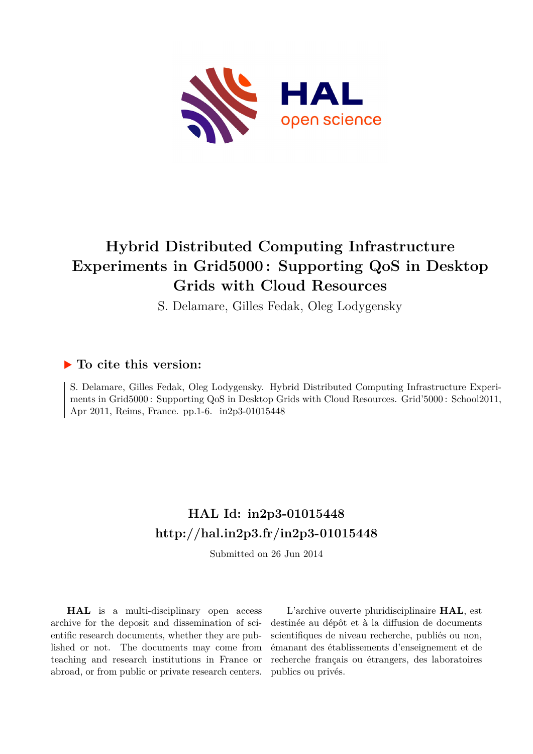

# **Hybrid Distributed Computing Infrastructure Experiments in Grid5000 : Supporting QoS in Desktop Grids with Cloud Resources**

S. Delamare, Gilles Fedak, Oleg Lodygensky

# **To cite this version:**

S. Delamare, Gilles Fedak, Oleg Lodygensky. Hybrid Distributed Computing Infrastructure Experiments in Grid5000 : Supporting QoS in Desktop Grids with Cloud Resources. Grid'5000 : School2011, Apr 2011, Reims, France. pp.1-6. in2p3-01015448

# **HAL Id: in2p3-01015448 <http://hal.in2p3.fr/in2p3-01015448>**

Submitted on 26 Jun 2014

**HAL** is a multi-disciplinary open access archive for the deposit and dissemination of scientific research documents, whether they are published or not. The documents may come from teaching and research institutions in France or abroad, or from public or private research centers.

L'archive ouverte pluridisciplinaire **HAL**, est destinée au dépôt et à la diffusion de documents scientifiques de niveau recherche, publiés ou non, émanant des établissements d'enseignement et de recherche français ou étrangers, des laboratoires publics ou privés.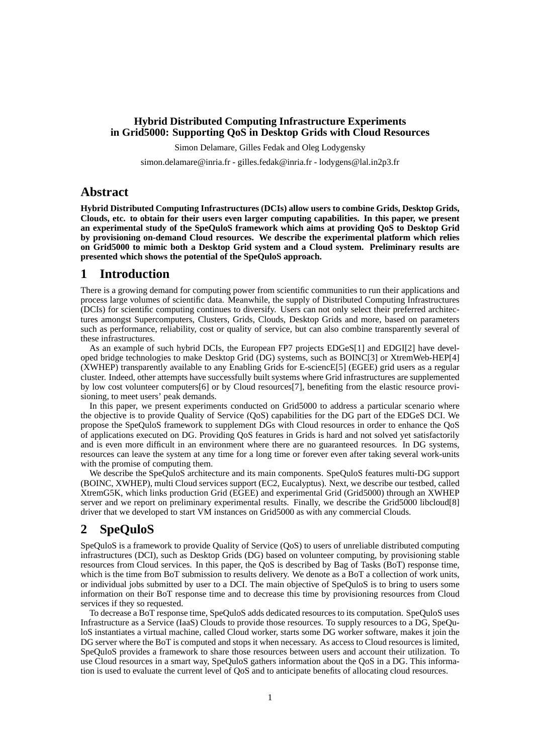### **Hybrid Distributed Computing Infrastructure Experiments in Grid5000: Supporting QoS in Desktop Grids with Cloud Resources**

Simon Delamare, Gilles Fedak and Oleg Lodygensky

simon.delamare@inria.fr - gilles.fedak@inria.fr - lodygens@lal.in2p3.fr

# **Abstract**

**Hybrid Distributed Computing Infrastructures (DCIs) allow users to combine Grids, Desktop Grids, Clouds, etc. to obtain for their users even larger computing capabilities. In this paper, we present an experimental study of the SpeQuloS framework which aims at providing QoS to Desktop Grid by provisioning on-demand Cloud resources. We describe the experimental platform which relies on Grid5000 to mimic both a Desktop Grid system and a Cloud system. Preliminary results are presented which shows the potential of the SpeQuloS approach.**

### **1 Introduction**

There is a growing demand for computing power from scientific communities to run their applications and process large volumes of scientific data. Meanwhile, the supply of Distributed Computing Infrastructures (DCIs) for scientific computing continues to diversify. Users can not only select their preferred architectures amongst Supercomputers, Clusters, Grids, Clouds, Desktop Grids and more, based on parameters such as performance, reliability, cost or quality of service, but can also combine transparently several of these infrastructures.

As an example of such hybrid DCIs, the European FP7 projects EDGeS[\[1\]](#page-6-0) and EDGI[\[2\]](#page-6-1) have developed bridge technologies to make Desktop Grid (DG) systems, such as BOINC[\[3\]](#page-6-2) or XtremWeb-HEP[\[4\]](#page-6-3) (XWHEP) transparently available to any Enabling Grids for E-sciencE[\[5\]](#page-6-4) (EGEE) grid users as a regular cluster. Indeed, other attempts have successfully built systems where Grid infrastructures are supplemented by low cost volunteer computers[\[6\]](#page-6-5) or by Cloud resources[\[7\]](#page-6-6), benefiting from the elastic resource provisioning, to meet users' peak demands.

In this paper, we present experiments conducted on Grid5000 to address a particular scenario where the objective is to provide Quality of Service (QoS) capabilities for the DG part of the EDGeS DCI. We propose the SpeQuloS framework to supplement DGs with Cloud resources in order to enhance the QoS of applications executed on DG. Providing QoS features in Grids is hard and not solved yet satisfactorily and is even more difficult in an environment where there are no guaranteed resources. In DG systems, resources can leave the system at any time for a long time or forever even after taking several work-units with the promise of computing them.

We describe the SpeQuloS architecture and its main components. SpeQuloS features multi-DG support (BOINC, XWHEP), multi Cloud services support (EC2, Eucalyptus). Next, we describe our testbed, called XtremG5K, which links production Grid (EGEE) and experimental Grid (Grid5000) through an XWHEP server and we report on preliminary experimental results. Finally, we describe the Grid5000 libcloud[\[8\]](#page-6-7) driver that we developed to start VM instances on Grid5000 as with any commercial Clouds.

## **2 SpeQuloS**

SpeQuloS is a framework to provide Quality of Service (QoS) to users of unreliable distributed computing infrastructures (DCI), such as Desktop Grids (DG) based on volunteer computing, by provisioning stable resources from Cloud services. In this paper, the QoS is described by Bag of Tasks (BoT) response time, which is the time from BoT submission to results delivery. We denote as a BoT a collection of work units, or individual jobs submitted by user to a DCI. The main objective of SpeQuloS is to bring to users some information on their BoT response time and to decrease this time by provisioning resources from Cloud services if they so requested.

To decrease a BoT response time, SpeQuloS adds dedicated resources to its computation. SpeQuloS uses Infrastructure as a Service (IaaS) Clouds to provide those resources. To supply resources to a DG, SpeQuloS instantiates a virtual machine, called Cloud worker, starts some DG worker software, makes it join the DG server where the BoT is computed and stops it when necessary. As access to Cloud resources is limited, SpeQuloS provides a framework to share those resources between users and account their utilization. To use Cloud resources in a smart way, SpeQuloS gathers information about the QoS in a DG. This information is used to evaluate the current level of QoS and to anticipate benefits of allocating cloud resources.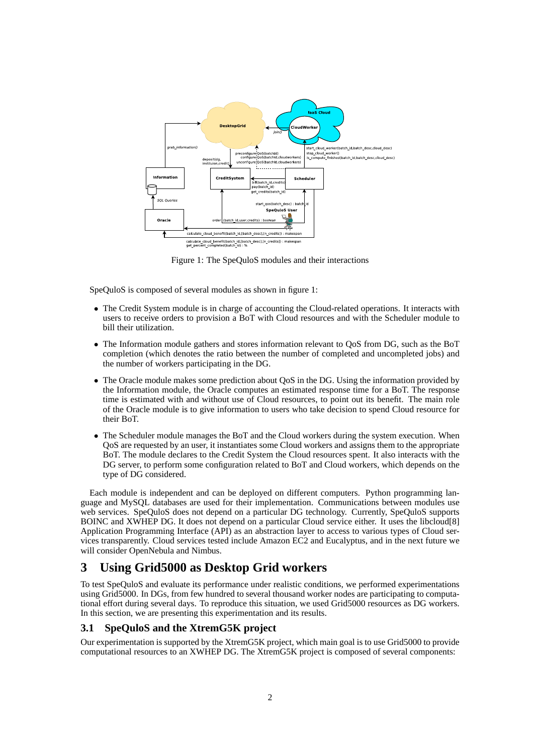<span id="page-2-0"></span>

Figure 1: The SpeQuloS modules and their interactions

SpeQuloS is composed of several modules as shown in figure [1:](#page-2-0)

- The Credit System module is in charge of accounting the Cloud-related operations. It interacts with users to receive orders to provision a BoT with Cloud resources and with the Scheduler module to bill their utilization.
- The Information module gathers and stores information relevant to QoS from DG, such as the BoT completion (which denotes the ratio between the number of completed and uncompleted jobs) and the number of workers participating in the DG.
- The Oracle module makes some prediction about QoS in the DG. Using the information provided by the Information module, the Oracle computes an estimated response time for a BoT. The response time is estimated with and without use of Cloud resources, to point out its benefit. The main role of the Oracle module is to give information to users who take decision to spend Cloud resource for their BoT.
- The Scheduler module manages the BoT and the Cloud workers during the system execution. When QoS are requested by an user, it instantiates some Cloud workers and assigns them to the appropriate BoT. The module declares to the Credit System the Cloud resources spent. It also interacts with the DG server, to perform some configuration related to BoT and Cloud workers, which depends on the type of DG considered.

Each module is independent and can be deployed on different computers. Python programming language and MySQL databases are used for their implementation. Communications between modules use web services. SpeQuloS does not depend on a particular DG technology. Currently, SpeQuloS supports BOINC and XWHEP DG. It does not depend on a particular Cloud service either. It uses the libcloud[\[8\]](#page-6-7) Application Programming Interface (API) as an abstraction layer to access to various types of Cloud services transparently. Cloud services tested include Amazon EC2 and Eucalyptus, and in the next future we will consider OpenNebula and Nimbus.

# <span id="page-2-1"></span>**3 Using Grid5000 as Desktop Grid workers**

To test SpeQuloS and evaluate its performance under realistic conditions, we performed experimentations using Grid5000. In DGs, from few hundred to several thousand worker nodes are participating to computational effort during several days. To reproduce this situation, we used Grid5000 resources as DG workers. In this section, we are presenting this experimentation and its results.

#### **3.1 SpeQuloS and the XtremG5K project**

Our experimentation is supported by the XtremG5K project, which main goal is to use Grid5000 to provide computational resources to an XWHEP DG. The XtremG5K project is composed of several components: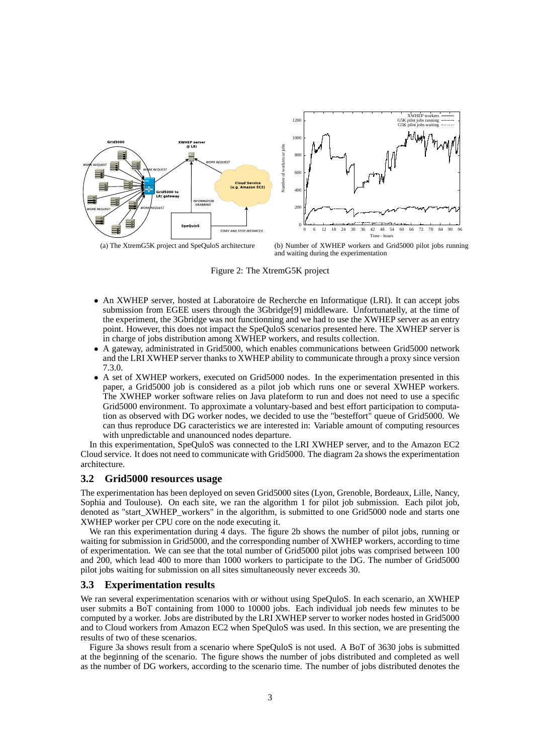<span id="page-3-0"></span>

<span id="page-3-1"></span>Figure 2: The XtremG5K project

- An XWHEP server, hosted at Laboratoire de Recherche en Informatique (LRI). It can accept jobs submission from EGEE users through the 3Gbridge[\[9\]](#page-6-8) middleware. Unfortunatelly, at the time of the experiment, the 3Gbridge was not functionning and we had to use the XWHEP server as an entry point. However, this does not impact the SpeQuloS scenarios presented here. The XWHEP server is in charge of jobs distribution among XWHEP workers, and results collection.
- A gateway, administrated in Grid5000, which enables communications between Grid5000 network and the LRI XWHEP server thanks to XWHEP ability to communicate through a proxy since version 7.3.0.
- A set of XWHEP workers, executed on Grid5000 nodes. In the experimentation presented in this paper, a Grid5000 job is considered as a pilot job which runs one or several XWHEP workers. The XWHEP worker software relies on Java plateform to run and does not need to use a specific Grid5000 environment. To approximate a voluntary-based and best effort participation to computation as observed with DG worker nodes, we decided to use the "besteffort" queue of Grid5000. We can thus reproduce DG caracteristics we are interested in: Variable amount of computing resources with unpredictable and unanounced nodes departure.

In this experimentation, SpeQuloS was connected to the LRI XWHEP server, and to the Amazon EC2 Cloud service. It does not need to communicate with Grid5000. The diagram [2a](#page-3-0) shows the experimentation architecture.

#### **3.2 Grid5000 resources usage**

The experimentation has been deployed on seven Grid5000 sites (Lyon, Grenoble, Bordeaux, Lille, Nancy, Sophia and Toulouse). On each site, we ran the algorithm [1](#page-4-0) for pilot job submission. Each pilot job, denoted as "start\_XWHEP\_workers" in the algorithm, is submitted to one Grid5000 node and starts one XWHEP worker per CPU core on the node executing it.

We ran this experimentation during 4 days. The figure [2b](#page-3-1) shows the number of pilot jobs, running or waiting for submission in Grid5000, and the corresponding number of XWHEP workers, according to time of experimentation. We can see that the total number of Grid5000 pilot jobs was comprised between 100 and 200, which lead 400 to more than 1000 workers to participate to the DG. The number of Grid5000 pilot jobs waiting for submission on all sites simultaneously never exceeds 30.

#### **3.3 Experimentation results**

We ran several experimentation scenarios with or without using SpeQuloS. In each scenario, an XWHEP user submits a BoT containing from 1000 to 10000 jobs. Each individual job needs few minutes to be computed by a worker. Jobs are distributed by the LRI XWHEP server to worker nodes hosted in Grid5000 and to Cloud workers from Amazon EC2 when SpeQuloS was used. In this section, we are presenting the results of two of these scenarios.

Figure [3a](#page-4-1) shows result from a scenario where SpeQuloS is not used. A BoT of 3630 jobs is submitted at the beginning of the scenario. The figure shows the number of jobs distributed and completed as well as the number of DG workers, according to the scenario time. The number of jobs distributed denotes the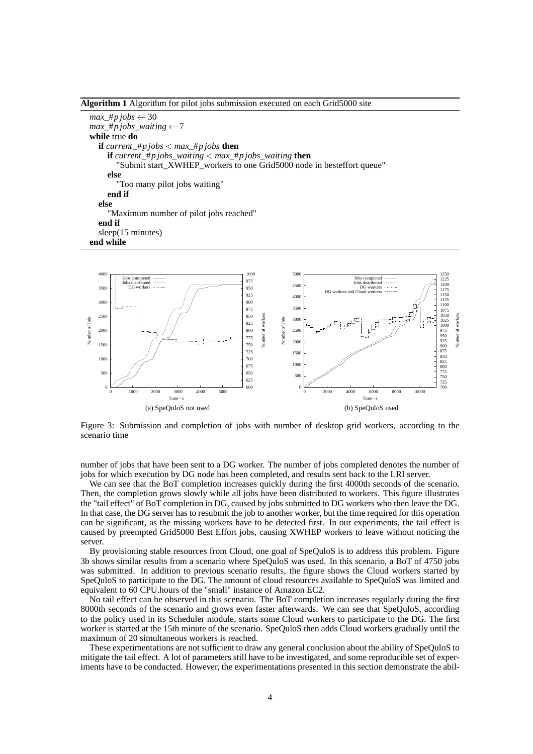<span id="page-4-0"></span>**Algorithm 1** Algorithm for pilot jobs submission executed on each Grid5000 site

*max* #*p jobs*  $\leftarrow$  30  $max_{\text{#p} jobs\_waiting} \leftarrow 7$ **while** true **do if** *current*\_#*pjobs*  $\lt$ *max\_*#*pjobs* **then if** *current*  $#p$  *jobs waiting*  $\lt{max}$   $#p$  *jobs waiting* **then** "Submit start\_XWHEP\_workers to one Grid5000 node in besteffort queue" **else** "Too many pilot jobs waiting" **end if else** "Maximum number of pilot jobs reached" **end if** sleep(15 minutes) **end while**

<span id="page-4-1"></span>

<span id="page-4-2"></span>Figure 3: Submission and completion of jobs with number of desktop grid workers, according to the scenario time

number of jobs that have been sent to a DG worker. The number of jobs completed denotes the number of jobs for which execution by DG node has been completed, and results sent back to the LRI server.

We can see that the BoT completion increases quickly during the first 4000th seconds of the scenario. Then, the completion grows slowly while all jobs have been distributed to workers. This figure illustrates the "tail effect" of BoT completion in DG, caused by jobs submitted to DG workers who then leave the DG. In that case, the DG server has to resubmit the job to another worker, but the time required for this operation can be significant, as the missing workers have to be detected first. In our experiments, the tail effect is caused by preempted Grid5000 Best Effort jobs, causing XWHEP workers to leave without noticing the server.

By provisioning stable resources from Cloud, one goal of SpeQuloS is to address this problem. Figure [3b](#page-4-2) shows similar results from a scenario where SpeQuloS was used. In this scenario, a BoT of 4750 jobs was submitted. In addition to previous scenario results, the figure shows the Cloud workers started by SpeQuloS to participate to the DG. The amount of cloud resources available to SpeQuloS was limited and equivalent to 60 CPU.hours of the "small" instance of Amazon EC2.

No tail effect can be observed in this scenario. The BoT completion increases regularly during the first 8000th seconds of the scenario and grows even faster afterwards. We can see that SpeQuloS, according to the policy used in its Scheduler module, starts some Cloud workers to participate to the DG. The first worker is started at the 15th minute of the scenario. SpeQuloS then adds Cloud workers gradually until the maximum of 20 simultaneous workers is reached.

These experimentations are not sufficient to draw any general conclusion about the ability of SpeQuloS to mitigate the tail effect. A lot of parameters still have to be investigated, and some reproducible set of experiments have to be conducted. However, the experimentations presented in this section demonstrate the abil-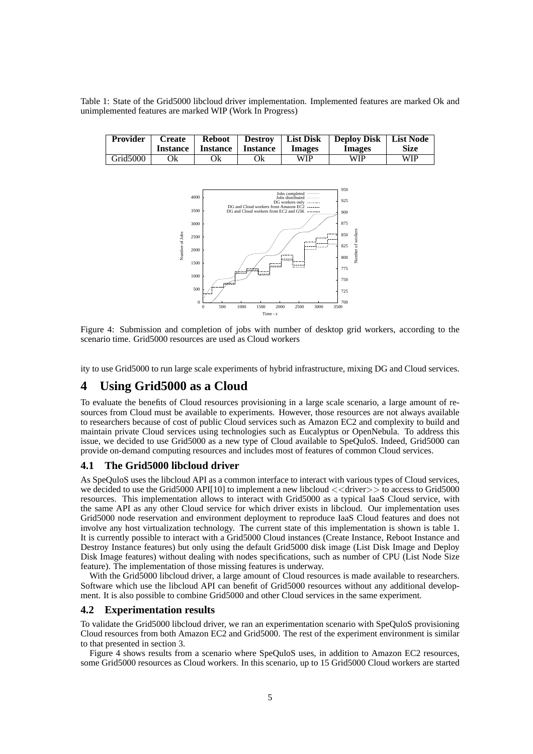<span id="page-5-0"></span>Table 1: State of the Grid5000 libcloud driver implementation. Implemented features are marked Ok and unimplemented features are marked WIP (Work In Progress)

<span id="page-5-1"></span>

| <b>Provider</b>      | <b>Create</b><br>Instance | <b>Reboot</b><br><b>Instance</b> | <b>Destroy</b><br><b>Instance</b> | <b>List Disk</b><br><b>Images</b> | Deploy Disk   List Node<br><b>Images</b> | <b>Size</b> |
|----------------------|---------------------------|----------------------------------|-----------------------------------|-----------------------------------|------------------------------------------|-------------|
| Grid <sub>5000</sub> | Эk                        | Ok                               | Ok                                | WIP                               | WIP                                      | WIP         |



Figure 4: Submission and completion of jobs with number of desktop grid workers, according to the scenario time. Grid5000 resources are used as Cloud workers

ity to use Grid5000 to run large scale experiments of hybrid infrastructure, mixing DG and Cloud services.

# **4 Using Grid5000 as a Cloud**

To evaluate the benefits of Cloud resources provisioning in a large scale scenario, a large amount of resources from Cloud must be available to experiments. However, those resources are not always available to researchers because of cost of public Cloud services such as Amazon EC2 and complexity to build and maintain private Cloud services using technologies such as Eucalyptus or OpenNebula. To address this issue, we decided to use Grid5000 as a new type of Cloud available to SpeQuloS. Indeed, Grid5000 can provide on-demand computing resources and includes most of features of common Cloud services.

#### **4.1 The Grid5000 libcloud driver**

As SpeQuloS uses the libcloud API as a common interface to interact with various types of Cloud services, we decided to use the Grid5000 API[\[10\]](#page-6-9) to implement a new libcloud  $\langle \langle \text{driver} \rangle \rangle$  to access to Grid5000 resources. This implementation allows to interact with Grid5000 as a typical IaaS Cloud service, with the same API as any other Cloud service for which driver exists in libcloud. Our implementation uses Grid5000 node reservation and environment deployment to reproduce IaaS Cloud features and does not involve any host virtualization technology. The current state of this implementation is shown is table [1.](#page-5-0) It is currently possible to interact with a Grid5000 Cloud instances (Create Instance, Reboot Instance and Destroy Instance features) but only using the default Grid5000 disk image (List Disk Image and Deploy Disk Image features) without dealing with nodes specifications, such as number of CPU (List Node Size feature). The implementation of those missing features is underway.

With the Grid5000 libcloud driver, a large amount of Cloud resources is made available to researchers. Software which use the libcloud API can benefit of Grid5000 resources without any additional development. It is also possible to combine Grid5000 and other Cloud services in the same experiment.

#### **4.2 Experimentation results**

To validate the Grid5000 libcloud driver, we ran an experimentation scenario with SpeQuloS provisioning Cloud resources from both Amazon EC2 and Grid5000. The rest of the experiment environment is similar to that presented in section [3.](#page-2-1)

Figure [4](#page-5-1) shows results from a scenario where SpeQuloS uses, in addition to Amazon EC2 resources, some Grid5000 resources as Cloud workers. In this scenario, up to 15 Grid5000 Cloud workers are started